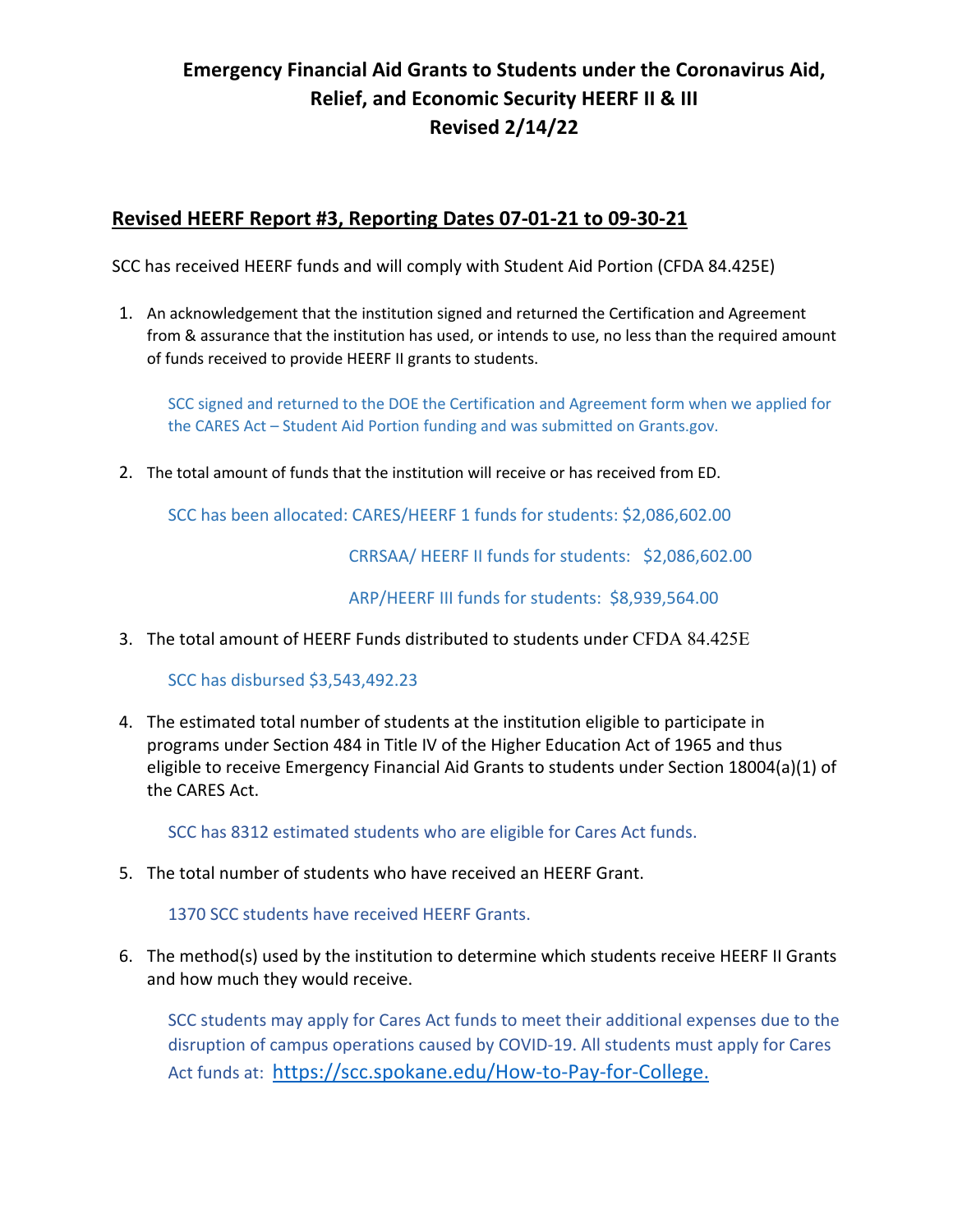## **Emergency Financial Aid Grants to Students under the Coronavirus Aid, Relief, and Economic Security HEERF II & III Revised 2/14/22**

## **Revised HEERF Report #3, Reporting Dates 07-01-21 to 09-30-21**

SCC has received HEERF funds and will comply with Student Aid Portion (CFDA 84.425E)

1. An acknowledgement that the institution signed and returned the Certification and Agreement from & assurance that the institution has used, or intends to use, no less than the required amount of funds received to provide HEERF II grants to students.

SCC signed and returned to the DOE the Certification and Agreement form when we applied for the CARES Act – Student Aid Portion funding and was submitted on Grants.gov.

2. The total amount of funds that the institution will receive or has received from ED.

SCC has been allocated: CARES/HEERF 1 funds for students: \$2,086,602.00

CRRSAA/ HEERF II funds for students: \$2,086,602.00

ARP/HEERF III funds for students: \$8,939,564.00

3. The total amount of HEERF Funds distributed to students under CFDA 84.425E

SCC has disbursed \$3,543,492.23

4. The estimated total number of students at the institution eligible to participate in programs under Section 484 in Title IV of the Higher Education Act of 1965 and thus eligible to receive Emergency Financial Aid Grants to students under Section 18004(a)(1) of the CARES Act.

SCC has 8312 estimated students who are eligible for Cares Act funds.

5. The total number of students who have received an HEERF Grant.

1370 SCC students have received HEERF Grants.

6. The method(s) used by the institution to determine which students receive HEERF II Grants and how much they would receive.

SCC students may apply for Cares Act funds to meet their additional expenses due to the disruption of campus operations caused by COVID-19. All students must apply for Cares Act funds at: https://scc.spokane.edu/How-to-Pay-for-College.